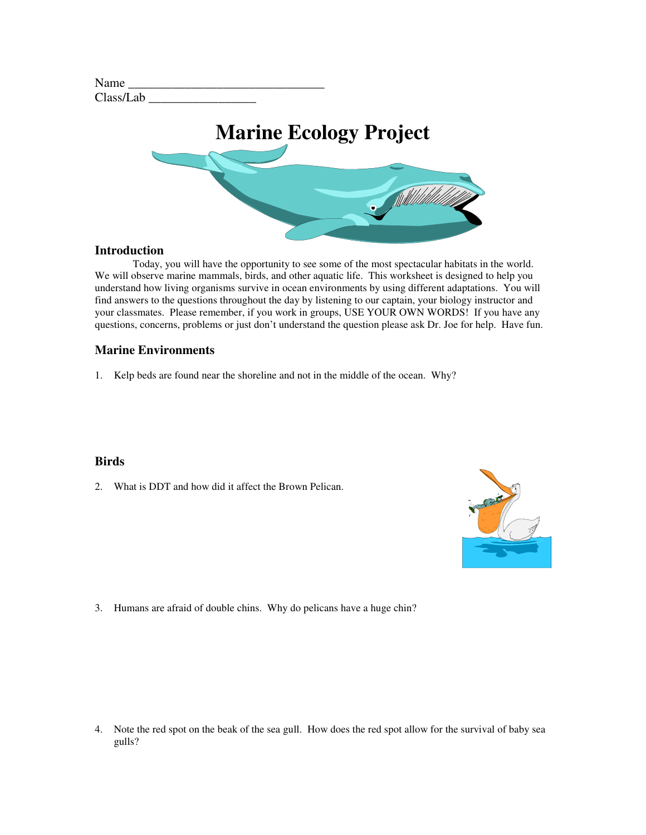| Name      |  |
|-----------|--|
| Class/Lab |  |



#### **Introduction**

Today, you will have the opportunity to see some of the most spectacular habitats in the world. We will observe marine mammals, birds, and other aquatic life. This worksheet is designed to help you understand how living organisms survive in ocean environments by using different adaptations. You will find answers to the questions throughout the day by listening to our captain, your biology instructor and your classmates. Please remember, if you work in groups, USE YOUR OWN WORDS! If you have any questions, concerns, problems or just don't understand the question please ask Dr. Joe for help. Have fun.

## **Marine Environments**

1. Kelp beds are found near the shoreline and not in the middle of the ocean. Why?

#### **Birds**

2. What is DDT and how did it affect the Brown Pelican.



3. Humans are afraid of double chins. Why do pelicans have a huge chin?

4. Note the red spot on the beak of the sea gull. How does the red spot allow for the survival of baby sea gulls?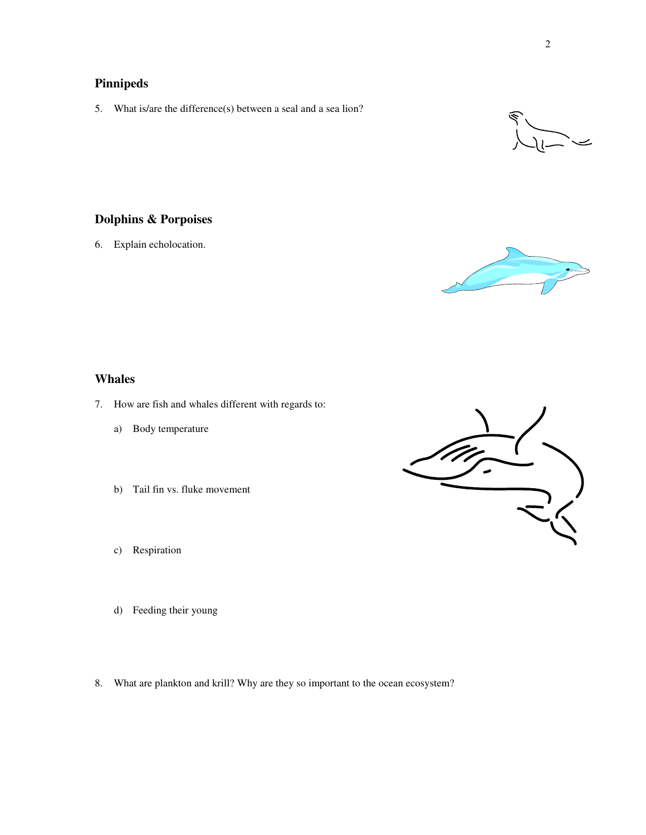# **Pinnipeds**

5. What is/are the difference(s) between a seal and a sea lion?



# **Dolphins & Porpoises**

6. Explain echolocation.



# **Whales**

- 7. How are fish and whales different with regards to:
	- a) Body temperature
	- b) Tail fin vs. fluke movement
	- c) Respiration
	- d) Feeding their young
- 8. What are plankton and krill? Why are they so important to the ocean ecosystem?